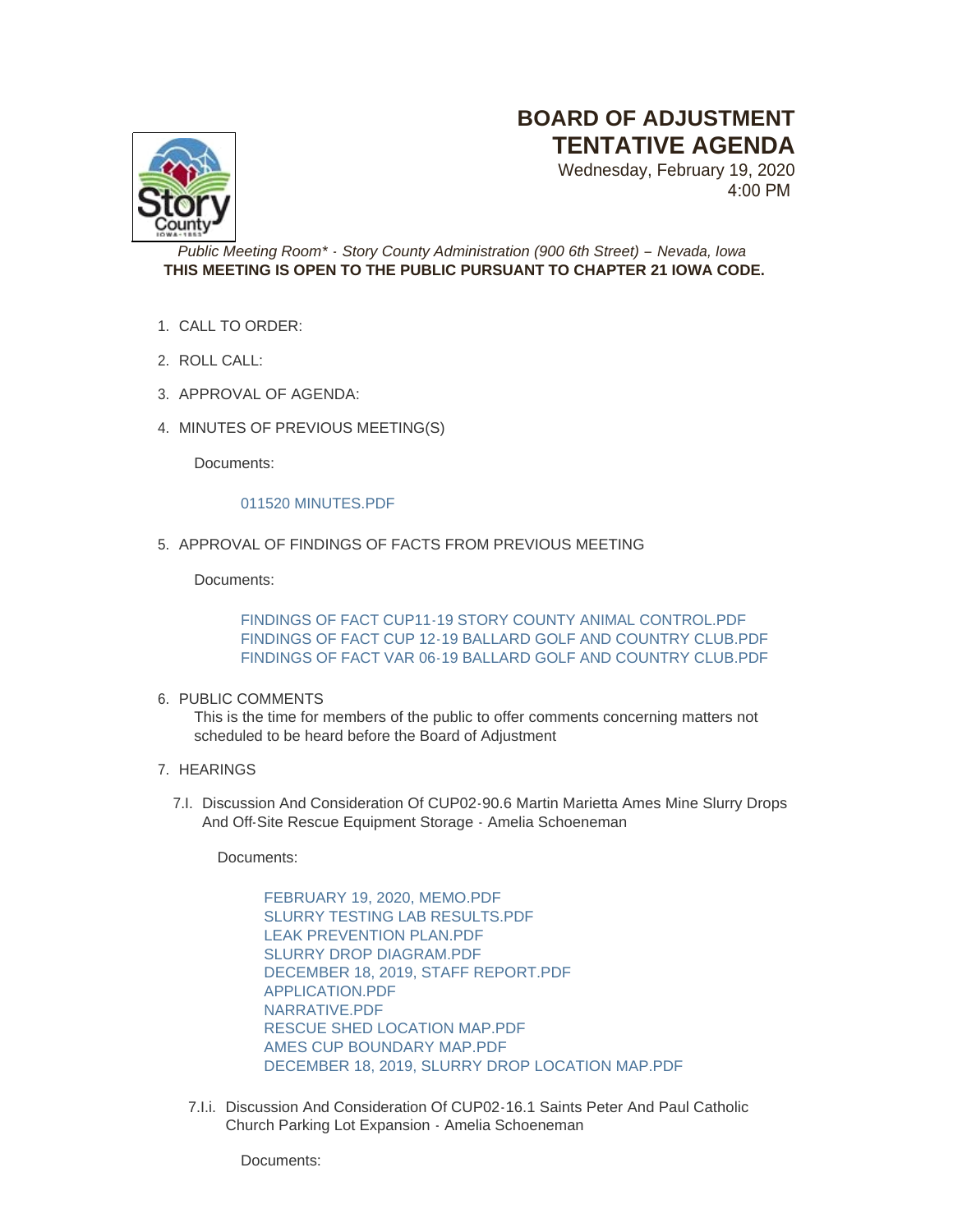# **BOARD OF ADJUSTMENT TENTATIVE AGENDA**

Wednesday, February 19, 2020 4:00 PM



*Public Meeting Room\* - Story County Administration (900 6th Street) – Nevada, Iowa* **THIS MEETING IS OPEN TO THE PUBLIC PURSUANT TO CHAPTER 21 IOWA CODE.**

- CALL TO ORDER: 1.
- 2. ROLL CALL:
- 3. APPROVAL OF AGENDA:
- 4. MINUTES OF PREVIOUS MEETING(S)

Documents:

## [011520 MINUTES.PDF](http://www.storycountyiowa.gov/AgendaCenter/ViewFile/Item/16639?fileID=12883)

5. APPROVAL OF FINDINGS OF FACTS FROM PREVIOUS MEETING

Documents:

[FINDINGS OF FACT CUP11-19 STORY COUNTY ANIMAL CONTROL.PDF](http://www.storycountyiowa.gov/AgendaCenter/ViewFile/Item/16641?fileID=12887) [FINDINGS OF FACT CUP 12-19 BALLARD GOLF AND COUNTRY CLUB.PDF](http://www.storycountyiowa.gov/AgendaCenter/ViewFile/Item/16641?fileID=12888) [FINDINGS OF FACT VAR 06-19 BALLARD GOLF AND COUNTRY CLUB.PDF](http://www.storycountyiowa.gov/AgendaCenter/ViewFile/Item/16641?fileID=12889)

## 6. PUBLIC COMMENTS

This is the time for members of the public to offer comments concerning matters not scheduled to be heard before the Board of Adjustment

- 7. HEARINGS
	- 7.I. Discussion And Consideration Of CUP02-90.6 Martin Marietta Ames Mine Slurry Drops And Off-Site Rescue Equipment Storage - Amelia Schoeneman

Documents:

[FEBRUARY 19, 2020, MEMO.PDF](http://www.storycountyiowa.gov/AgendaCenter/ViewFile/Item/16643?fileID=12907) [SLURRY TESTING LAB RESULTS.PDF](http://www.storycountyiowa.gov/AgendaCenter/ViewFile/Item/16643?fileID=12899) [LEAK PREVENTION PLAN.PDF](http://www.storycountyiowa.gov/AgendaCenter/ViewFile/Item/16643?fileID=12908) [SLURRY DROP DIAGRAM.PDF](http://www.storycountyiowa.gov/AgendaCenter/ViewFile/Item/16643?fileID=12898) [DECEMBER 18, 2019, STAFF REPORT.PDF](http://www.storycountyiowa.gov/AgendaCenter/ViewFile/Item/16643?fileID=12903) [APPLICATION.PDF](http://www.storycountyiowa.gov/AgendaCenter/ViewFile/Item/16643?fileID=12901) [NARRATIVE.PDF](http://www.storycountyiowa.gov/AgendaCenter/ViewFile/Item/16643?fileID=12896) [RESCUE SHED LOCATION MAP.PDF](http://www.storycountyiowa.gov/AgendaCenter/ViewFile/Item/16643?fileID=12897) [AMES CUP BOUNDARY MAP.PDF](http://www.storycountyiowa.gov/AgendaCenter/ViewFile/Item/16643?fileID=12900) [DECEMBER 18, 2019, SLURRY DROP LOCATION MAP.PDF](http://www.storycountyiowa.gov/AgendaCenter/ViewFile/Item/16643?fileID=12902)

7.I.i. Discussion And Consideration Of CUP02-16.1 Saints Peter And Paul Catholic Church Parking Lot Expansion - Amelia Schoeneman

Documents: